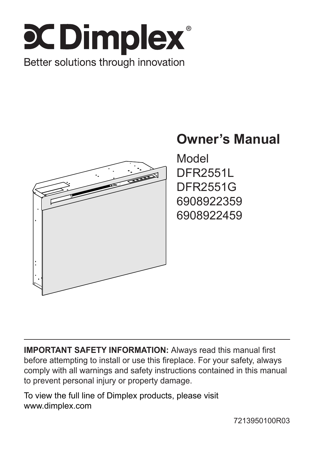



**IMPORTANT SAFETY INFORMATION:** Always read this manual first before attempting to install or use this fireplace. For your safety, always comply with all warnings and safety instructions contained in this manual to prevent personal injury or property damage.

To view the full line of Dimplex products, please visit www.dimplex.com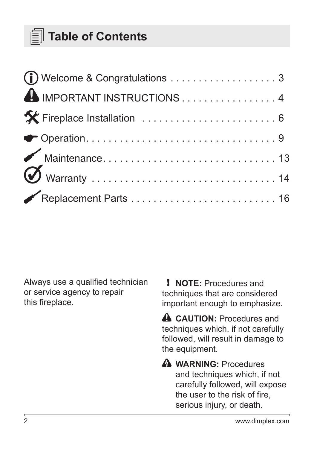### **Table of Contents**

| A IMPORTANT INSTRUCTIONS4 |  |
|---------------------------|--|
|                           |  |
|                           |  |
|                           |  |
|                           |  |
|                           |  |

Always use a qualified technician or service agency to repair this fireplace.

! **NOTE:** Procedures and techniques that are considered important enough to emphasize.

**A** CAUTION: Procedures and techniques which, if not carefully followed, will result in damage to the equipment.

**A** WARNING: Procedures and techniques which, if not carefully followed, will expose the user to the risk of fire, serious injury, or death.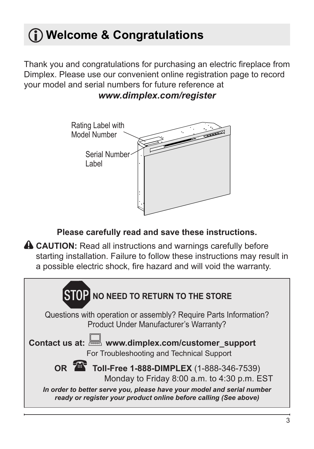# <span id="page-2-0"></span>**Welcome & Congratulations**

Thank you and congratulations for purchasing an electric fireplace from Dimplex. Please use our convenient online registration page to record your model and serial numbers for future reference at *www.dimplex.com/register*



#### **Please carefully read and save these instructions.**

**A CAUTION:** Read all instructions and warnings carefully before starting installation. Failure to follow these instructions may result in a possible electric shock, fire hazard and will void the warranty.

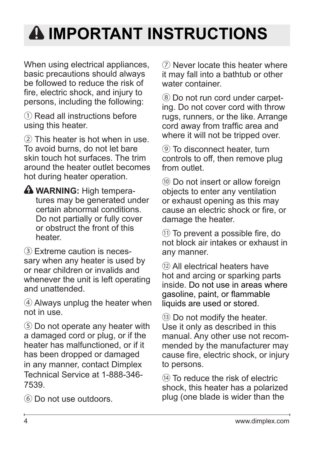# <span id="page-3-0"></span>**A IMPORTANT INSTRUCTIONS**

When using electrical appliances, basic precautions should always be followed to reduce the risk of fire, electric shock, and injury to persons, including the following:

① Read all instructions before using this heater.

② This heater is hot when in use. To avoid burns, do not let bare skin touch hot surfaces. The trim around the heater outlet becomes hot during heater operation.

**A WARNING:** High temperatures may be generated under certain abnormal conditions. Do not partially or fully cover or obstruct the front of this heater.

③ Extreme caution is necessary when any heater is used by or near children or invalids and whenever the unit is left operating and unattended.

④ Always unplug the heater when not in use.

⑤ Do not operate any heater with a damaged cord or plug, or if the heater has malfunctioned, or if it has been dropped or damaged in any manner, contact Dimplex Technical Service at 1-888-346- 7539.

⑥ Do not use outdoors.

⑦ Never locate this heater where it may fall into a bathtub or other water container.

⑧ Do not run cord under carpeting. Do not cover cord with throw rugs, runners, or the like. Arrange cord away from traffic area and where it will not be tripped over.

⑨ To disconnect heater, turn controls to off, then remove plug from outlet.

⑩ Do not insert or allow foreign objects to enter any ventilation or exhaust opening as this may cause an electric shock or fire, or damage the heater.

⑪ To prevent a possible fire, do not block air intakes or exhaust in any manner.

⑫ All electrical heaters have hot and arcing or sparking parts inside. Do not use in areas where gasoline, paint, or flammable liquids are used or stored.

⑬ Do not modify the heater. Use it only as described in this manual. Any other use not recommended by the manufacturer may cause fire, electric shock, or injury to persons.

⑭ To reduce the risk of electric shock, this heater has a polarized plug (one blade is wider than the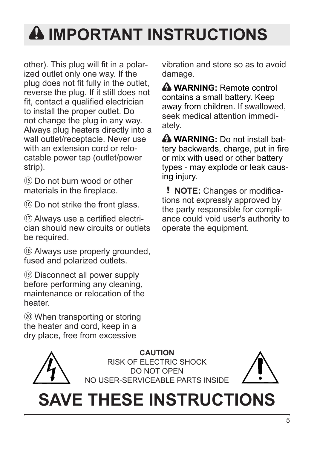# **IMPORTANT INSTRUCTIONS**

other). This plug will fit in a polarized outlet only one way. If the plug does not fit fully in the outlet, reverse the plug. If it still does not fit, contact a qualified electrician to install the proper outlet. Do not change the plug in any way. Always plug heaters directly into a wall outlet/receptacle. Never use with an extension cord or relocatable power tap (outlet/power strip).

⑮ Do not burn wood or other materials in the fireplace.

⑯ Do not strike the front glass.

⑰ Always use a certified electrician should new circuits or outlets be required.

⑱ Always use properly grounded, fused and polarized outlets.

⑲ Disconnect all power supply before performing any cleaning, maintenance or relocation of the heater.

⑳ When transporting or storing the heater and cord, keep in a dry place, free from excessive

vibration and store so as to avoid damage.

 **WARNING:** Remote control contains a small battery. Keep away from children. If swallowed, seek medical attention immediately.

**A WARNING:** Do not install battery backwards, charge, put in fire or mix with used or other battery types - may explode or leak causing injury.

! **NOTE:** Changes or modifications not expressly approved by the party responsible for compliance could void user's authority to operate the equipment.

**CAUTION** RISK OF ELECTRIC SHOCK DO NOT OPEN NO USER-SERVICEABLE PARTS INSIDE



# **SAVE THESE INSTRUCTIONS**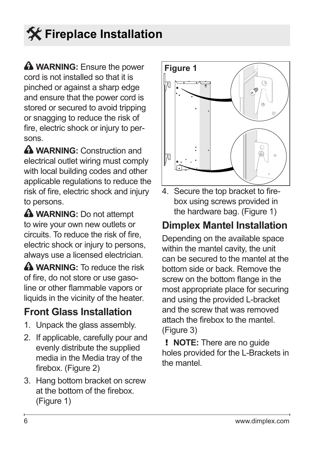# <span id="page-5-0"></span>**Fireplace Installation**

**A** WARNING: Ensure the power cord is not installed so that it is pinched or against a sharp edge and ensure that the power cord is stored or secured to avoid tripping or snagging to reduce the risk of fire, electric shock or injury to persons.

**WARNING:** Construction and electrical outlet wiring must comply with local building codes and other applicable regulations to reduce the risk of fire, electric shock and injury to persons.

**A** WARNING: Do not attempt to wire your own new outlets or circuits. To reduce the risk of fire, electric shock or injury to persons, always use a licensed electrician.

**A** WARNING: To reduce the risk of fire, do not store or use gasoline or other flammable vapors or liquids in the vicinity of the heater.

### **Front Glass Installation**

- 1. Unpack the glass assembly.
- 2. If applicable, carefully pour and evenly distribute the supplied media in the Media tray of the firebox. (Figure 2)
- 3. Hang bottom bracket on screw at the bottom of the firebox. (Figure 1)



4. Secure the top bracket to firebox using screws provided in the hardware bag. (Figure 1)

### **Dimplex Mantel Installation**

Depending on the available space within the mantel cavity, the unit can be secured to the mantel at the bottom side or back. Remove the screw on the bottom flange in the most appropriate place for securing and using the provided L-bracket and the screw that was removed attach the firebox to the mantel. (Figure 3)

! **NOTE:** There are no guide holes provided for the L-Brackets in the mantel.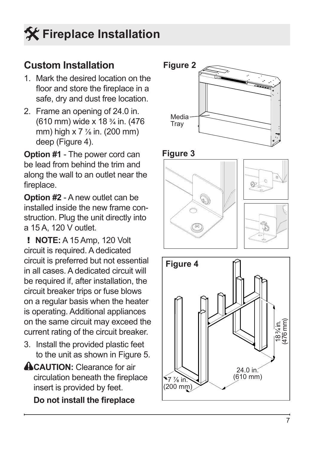# **Fireplace Installation**

### **Custom Installation**

- 1. Mark the desired location on the floor and store the fireplace in a safe, dry and dust free location.
- 2. Frame an opening of 24.0 in. (610 mm) wide x 18 ¾ in. (476 mm) high x 7 ⅞ in. (200 mm) deep (Figure 4).

**Option #1** - The power cord can be lead from behind the trim and along the wall to an outlet near the fireplace.

**Option #2** - A new outlet can be installed inside the new frame construction. Plug the unit directly into a 15 A, 120 V outlet.

! **NOTE:** A 15 Amp, 120 Volt circuit is required. A dedicated circuit is preferred but not essential in all cases. A dedicated circuit will be required if, after installation, the circuit breaker trips or fuse blows on a regular basis when the heater is operating. Additional appliances on the same circuit may exceed the current rating of the circuit breaker.

- 3. Install the provided plastic feet to the unit as shown in Figure 5.
- **ACAUTION:** Clearance for air circulation beneath the fireplace insert is provided by feet.

**Do not install the fireplace** 





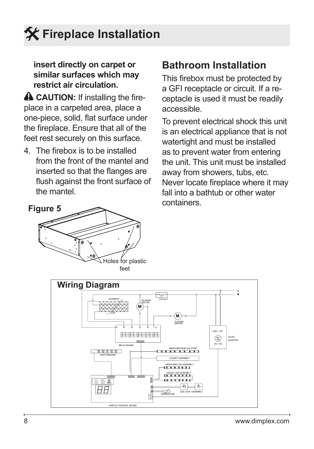# **Fireplace Installation**

#### **insert directly on carpet or similar surfaces which may restrict air circulation.**

**A CAUTION:** If installing the fireplace in a carpeted area, place a one-piece, solid, flat surface under the fireplace. Ensure that all of the feet rest securely on this surface.

4. The firebox is to be installed from the front of the mantel and inserted so that the flanges are flush against the front surface of the mantel.

# $\overline{\mathbb{R}}$  Holes for plastic feet **Figure 5**

### **Bathroom Installation**

This firebox must be protected by a GFI receptacle or circuit. If a receptacle is used it must be readily accessible.

To prevent electrical shock this unit is an electrical appliance that is not watertight and must be installed as to prevent water from entering the unit. This unit must be installed away from showers, tubs, etc. Never locate fireplace where it may fall into a bathtub or other water containers.

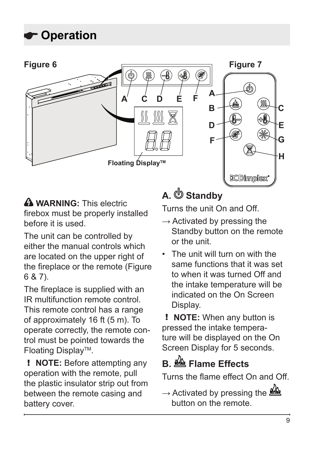<span id="page-8-0"></span>

**A WARNING:** This electric firebox must be properly installed before it is used.

The unit can be controlled by either the manual controls which are located on the upper right of the fireplace or the remote (Figure 6 & 7).

The fireplace is supplied with an IR multifunction remote control. This remote control has a range of approximately 16 ft (5 m). To operate correctly, the remote control must be pointed towards the Floating DisplayTM.

! **NOTE:** Before attempting any operation with the remote, pull the plastic insulator strip out from between the remote casing and battery cover.

## **A. Standby**

Turns the unit On and Off.

- $\rightarrow$  Activated by pressing the Standby button on the remote or the unit.
- The unit will turn on with the same functions that it was set to when it was turned Off and the intake temperature will be indicated on the On Screen Display.

! **NOTE:** When any button is pressed the intake temperature will be displayed on the On Screen Display for 5 seconds.

## **B. Flame Effects**

Turns the flame effect On and Off.

 $\rightarrow$  Activated by pressing the  $\frac{dQ_0}{dQ_0}$ button on the remote.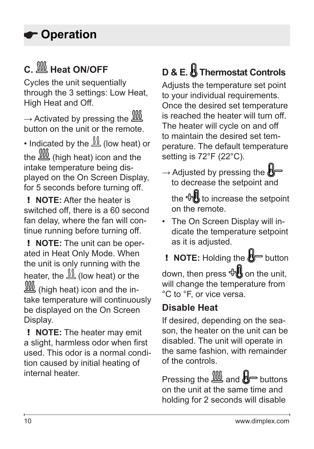## **C. Heat ON/OFF**

Cycles the unit sequentially through the 3 settings: Low Heat, High Heat and Off.

 $\rightarrow$  Activated by pressing the  $III$ button on the unit or the remote.

• Indicated by the  $\frac{\sqrt{S}}{\sqrt{S}}$  (low heat) or the  $III($  high heat) icon and the intake temperature being displayed on the On Screen Display, for 5 seconds before turning off.

! **NOTE:** After the heater is switched off, there is a 60 second fan delay, where the fan will continue running before turning off.

! **NOTE:** The unit can be operated in Heat Only Mode. When the unit is only running with the heater, the  $\frac{\sqrt{8}}{2}$  (low heat) or the (high heat) icon and the intake temperature will continuously be displayed on the On Screen Display.

! **NOTE:** The heater may emit a slight, harmless odor when first used. This odor is a normal condition caused by initial heating of internal heater.

# **D & E. Thermostat Controls**

Adjusts the temperature set point to your individual requirements. Once the desired set temperature is reached the heater will turn off. The heater will cycle on and off to maintain the desired set temperature. The default temperature setting is 72°F (22°C).

 $\rightarrow$  Adjusted by pressing the  $\mathbb{N}$ to decrease the setpoint and

the  $\bigoplus$  to increase the setpoint on the remote.

• The On Screen Display will indicate the temperature setpoint as it is adjusted.

**! NOTE:** Holding the  $\mathbb{B}$  button

down, then press  $\oplus$  on the unit, will change the temperature from °C to °F, or vice versa.

### **Disable Heat**

If desired, depending on the season, the heater on the unit can be disabled. The unit will operate in the same fashion, with remainder of the controls.

Pressing the  $\frac{100}{200}$  and  $\frac{1}{200}$  buttons on the unit at the same time and holding for 2 seconds will disable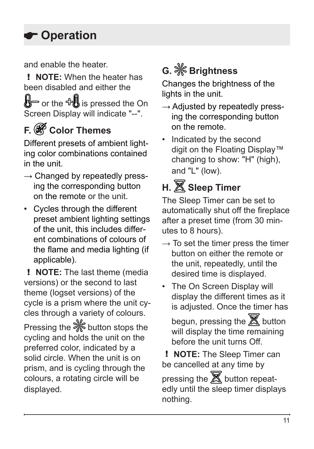and enable the heater.

! **NOTE:** When the heater has been disabled and either the

 $\bigotimes$  or the  $\bigoplus$  is pressed the On Screen Display will indicate "--".

# **F. Color Themes**

Different presets of ambient lighting color combinations contained in the unit.

- $\rightarrow$  Changed by repeatedly pressing the corresponding button on the remote or the unit.
- Cycles through the different preset ambient lighting settings of the unit, this includes different combinations of colours of the flame and media lighting (if applicable).

! **NOTE:** The last theme (media versions) or the second to last theme (logset versions) of the cycle is a prism where the unit cycles through a variety of colours.

Pressing the  $\frac{5}{20}$  button stops the cycling and holds the unit on the preferred color, indicated by a solid circle. When the unit is on prism, and is cycling through the colours, a rotating circle will be displayed.

# **G. Brightness**

Changes the brightness of the lights in the unit.

- $\rightarrow$  Adjusted by repeatedly pressing the corresponding button on the remote.
- Indicated by the second digit on the Floating Display™ changing to show: "H" (high), and "L" (low).

## **H. Sleep Timer**

The Sleep Timer can be set to automatically shut off the fireplace after a preset time (from 30 minutes to 8 hours).

- $\rightarrow$  To set the timer press the timer button on either the remote or the unit, repeatedly, until the desired time is displayed.
- The On Screen Display will display the different times as it is adjusted. Once the timer has begun, pressing the  $\mathbb X$  button will display the time remaining before the unit turns Off.

! **NOTE:** The Sleep Timer can be cancelled at any time by pressing the  $\mathbb X$  button repeatedly until the sleep timer displays nothing.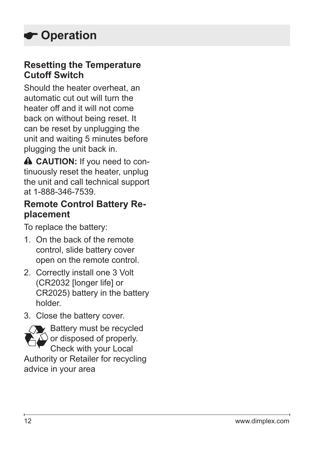#### **Resetting the Temperature Cutoff Switch**

Should the heater overheat, an automatic cut out will turn the heater off and it will not come back on without being reset. It can be reset by unplugging the unit and waiting 5 minutes before plugging the unit back in.

**A CAUTION:** If you need to continuously reset the heater, unplug the unit and call technical support at 1-888-346-7539.

#### **Remote Control Battery Replacement**

To replace the battery:

- 1. On the back of the remote control, slide battery cover open on the remote control.
- 2. Correctly install one 3 Volt (CR2032 [longer life] or CR2025) battery in the battery holder.
- 3. Close the battery cover.



Check with your Local Authority or Retailer for recycling

advice in your area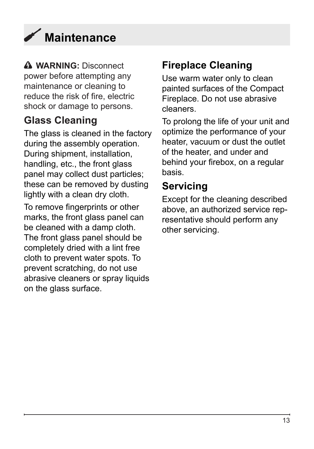<span id="page-12-0"></span>

**WARNING:** Disconnect power before attempting any maintenance or cleaning to reduce the risk of fire, electric shock or damage to persons.

### **Glass Cleaning**

The glass is cleaned in the factory during the assembly operation. During shipment, installation, handling, etc., the front glass panel may collect dust particles; these can be removed by dusting lightly with a clean dry cloth.

To remove fingerprints or other marks, the front glass panel can be cleaned with a damp cloth. The front glass panel should be completely dried with a lint free cloth to prevent water spots. To prevent scratching, do not use abrasive cleaners or spray liquids on the glass surface.

### **Fireplace Cleaning**

Use warm water only to clean painted surfaces of the Compact Fireplace. Do not use abrasive cleaners.

To prolong the life of your unit and optimize the performance of your heater, vacuum or dust the outlet of the heater, and under and behind your firebox, on a regular basis.

### **Servicing**

Except for the cleaning described above, an authorized service representative should perform any other servicing.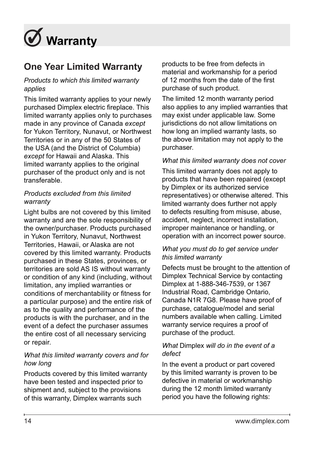<span id="page-13-0"></span>

#### **One Year Limited Warranty**

#### *Products to which this limited warranty applies*

This limited warranty applies to your newly purchased Dimplex electric fireplace. This limited warranty applies only to purchases made in any province of Canada *except* for Yukon Territory, Nunavut, or Northwest Territories or in any of the 50 States of the USA (and the District of Columbia) *except* for Hawaii and Alaska. This limited warranty applies to the original purchaser of the product only and is not transferable.

#### *Products excluded from this limited warranty*

Light bulbs are not covered by this limited warranty and are the sole responsibility of the owner/purchaser. Products purchased in Yukon Territory, Nunavut, Northwest Territories, Hawaii, or Alaska are not covered by this limited warranty. Products purchased in these States, provinces, or territories are sold AS IS without warranty or condition of any kind (including, without limitation, any implied warranties or conditions of merchantability or fitness for a particular purpose) and the entire risk of as to the quality and performance of the products is with the purchaser, and in the event of a defect the purchaser assumes the entire cost of all necessary servicing or repair.

#### *What this limited warranty covers and for how long*

Products covered by this limited warranty have been tested and inspected prior to shipment and, subject to the provisions of this warranty, Dimplex warrants such

products to be free from defects in material and workmanship for a period of 12 months from the date of the first purchase of such product.

The limited 12 month warranty period also applies to any implied warranties that may exist under applicable law. Some jurisdictions do not allow limitations on how long an implied warranty lasts, so the above limitation may not apply to the purchaser.

#### *What this limited warranty does not cover*

This limited warranty does not apply to products that have been repaired (except by Dimplex or its authorized service representatives) or otherwise altered. This limited warranty does further not apply to defects resulting from misuse, abuse, accident, neglect, incorrect installation, improper maintenance or handling, or operation with an incorrect power source.

#### *What you must do to get service under this limited warranty*

Defects must be brought to the attention of Dimplex Technical Service by contacting Dimplex at 1-888-346-7539, or 1367 Industrial Road, Cambridge Ontario, Canada N1R 7G8. Please have proof of purchase, catalogue/model and serial numbers available when calling. Limited warranty service requires a proof of purchase of the product.

#### *What* Dimplex *will do in the event of a defect*

In the event a product or part covered by this limited warranty is proven to be defective in material or workmanship during the 12 month limited warranty period you have the following rights: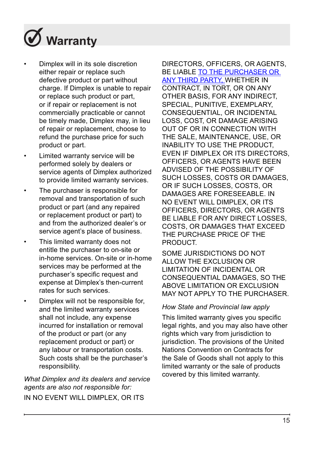

- Dimplex will in its sole discretion either repair or replace such defective product or part without charge. If Dimplex is unable to repair or replace such product or part, or if repair or replacement is not commercially practicable or cannot be timely made, Dimplex may, in lieu of repair or replacement, choose to refund the purchase price for such product or part.
- Limited warranty service will be performed solely by dealers or service agents of Dimplex authorized to provide limited warranty services.
- The purchaser is responsible for removal and transportation of such product or part (and any repaired or replacement product or part) to and from the authorized dealer's or service agent's place of business.
- This limited warranty does not entitle the purchaser to on-site or in-home services. On-site or in-home services may be performed at the purchaser's specific request and expense at Dimplex's then-current rates for such services.
- Dimplex will not be responsible for, and the limited warranty services shall not include, any expense incurred for installation or removal of the product or part (or any replacement product or part) or any labour or transportation costs. Such costs shall be the purchaser's responsibility.

*What Dimplex and its dealers and service agents are also not responsible for:* IN NO EVENT WILL DIMPLEX, OR ITS

DIRECTORS, OFFICERS, OR AGENTS, BE LIABLE TO THE PURCHASER OR ANY THIRD PARTY, WHETHER IN CONTRACT, IN TORT, OR ON ANY OTHER BASIS, FOR ANY INDIRECT, SPECIAL, PUNITIVE, EXEMPLARY CONSEQUENTIAL, OR INCIDENTAL LOSS, COST, OR DAMAGE ARISING OUT OF OR IN CONNECTION WITH THE SALE, MAINTENANCE, USE, OR INABILITY TO USE THE PRODUCT, EVEN IF DIMPLEX OR ITS DIRECTORS, OFFICERS, OR AGENTS HAVE BEEN ADVISED OF THE POSSIBILITY OF SUCH LOSSES, COSTS OR DAMAGES, OR IF SUCH LOSSES, COSTS, OR DAMAGES ARE FORESEEABLE. IN NO EVENT WILL DIMPLEX, OR ITS OFFICERS, DIRECTORS, OR AGENTS BE LIABLE FOR ANY DIRECT LOSSES, COSTS, OR DAMAGES THAT EXCEED THE PURCHASE PRICE OF THE **PRODUCT.** 

SOME JURISDICTIONS DO NOT ALLOW THE EXCLUSION OR LIMITATION OF INCIDENTAL OR CONSEQUENTIAL DAMAGES, SO THE ABOVE LIMITATION OR EXCLUSION MAY NOT APPLY TO THE PURCHASER.

#### *How State and Provincial law apply*

This limited warranty gives you specific legal rights, and you may also have other rights which vary from jurisdiction to jurisdiction. The provisions of the United Nations Convention on Contracts for the Sale of Goods shall not apply to this limited warranty or the sale of products covered by this limited warranty.